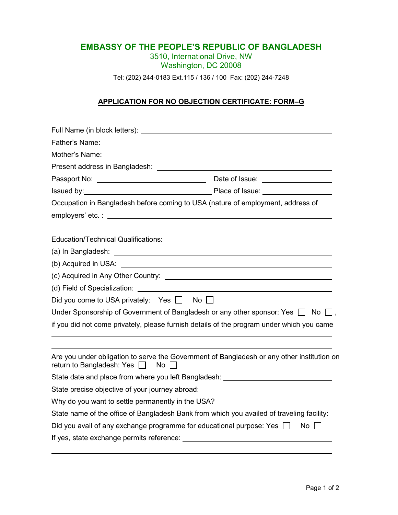## **EMBASSY OF THE PEOPLE'S REPUBLIC OF BANGLADESH**

3510, International Drive, NW Washington, DC 20008

Tel: (202) 244-0183 Ext.115 / 136 / 100 Fax: (202) 244-7248

## **APPLICATION FOR NO OBJECTION CERTIFICATE: FORM–G**

| Present address in Bangladesh: National Assembly Present address in Bangladesh:                                                             |                 |
|---------------------------------------------------------------------------------------------------------------------------------------------|-----------------|
|                                                                                                                                             |                 |
|                                                                                                                                             |                 |
| Occupation in Bangladesh before coming to USA (nature of employment, address of                                                             |                 |
|                                                                                                                                             |                 |
|                                                                                                                                             |                 |
| <b>Education/Technical Qualifications:</b>                                                                                                  |                 |
|                                                                                                                                             |                 |
|                                                                                                                                             |                 |
|                                                                                                                                             |                 |
|                                                                                                                                             |                 |
| Did you come to USA privately: Yes □ No □                                                                                                   |                 |
| Under Sponsorship of Government of Bangladesh or any other sponsor: Yes $\Box$ No $\Box$ ,                                                  |                 |
| if you did not come privately, please furnish details of the program under which you came                                                   |                 |
|                                                                                                                                             |                 |
| Are you under obligation to serve the Government of Bangladesh or any other institution on<br>return to Bangladesh: Yes $\Box$<br><b>No</b> |                 |
| State date and place from where you left Bangladesh: ___________________________                                                            |                 |
| State precise objective of your journey abroad:                                                                                             |                 |
| Why do you want to settle permanently in the USA?                                                                                           |                 |
| State name of the office of Bangladesh Bank from which you availed of traveling facility:                                                   |                 |
| Did you avail of any exchange programme for educational purpose: Yes $\Box$                                                                 | No <sub>1</sub> |
|                                                                                                                                             |                 |
|                                                                                                                                             |                 |